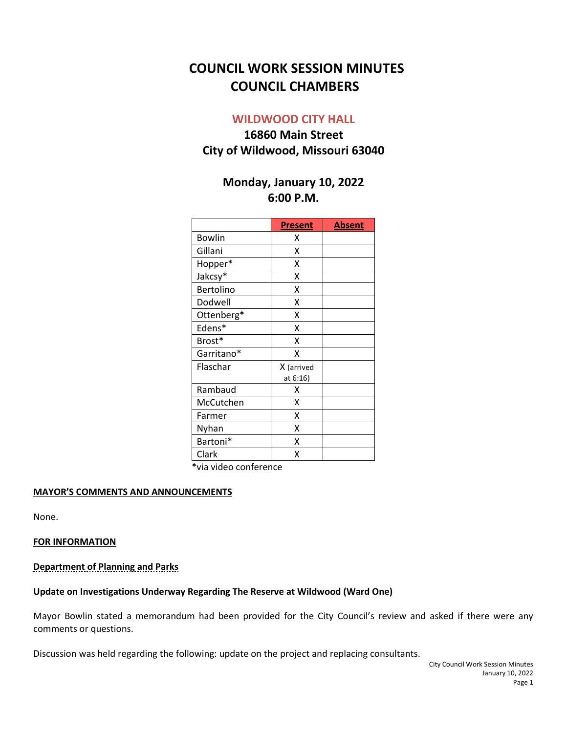# **COUNCIL WORK SESSION MINUTES COUNCIL CHAMBERS**

## **WILDWOOD CITY HALL**

## **16860 Main Street City of Wildwood, Missouri 63040**

## **Monday, January 10, 2022 6:00 P.M.**

|               | <b>Present</b> | <b>Absent</b> |
|---------------|----------------|---------------|
| <b>Bowlin</b> | Χ              |               |
| Gillani       | X              |               |
| Hopper*       | X              |               |
| Jakcsy*       | X              |               |
| Bertolino     | X              |               |
| Dodwell       | X              |               |
| Ottenberg*    | x              |               |
| Edens*        | X              |               |
| Brost*        | X              |               |
| Garritano*    | χ              |               |
| Flaschar      | X (arrived     |               |
|               | at 6:16)       |               |
| Rambaud       | χ              |               |
| McCutchen     | X              |               |
| Farmer        | X              |               |
| Nyhan         | x              |               |
| Bartoni*      | x              |               |
| Clark         | X              |               |

\*via video conference

## **MAYOR'S COMMENTS AND ANNOUNCEMENTS**

None.

## **FOR INFORMATION**

#### **Department of Planning and Parks**

## **Update on Investigations Underway Regarding The Reserve at Wildwood (Ward One)**

Mayor Bowlin stated a memorandum had been provided for the City Council's review and asked if there were any comments or questions.

Discussion was held regarding the following: update on the project and replacing consultants.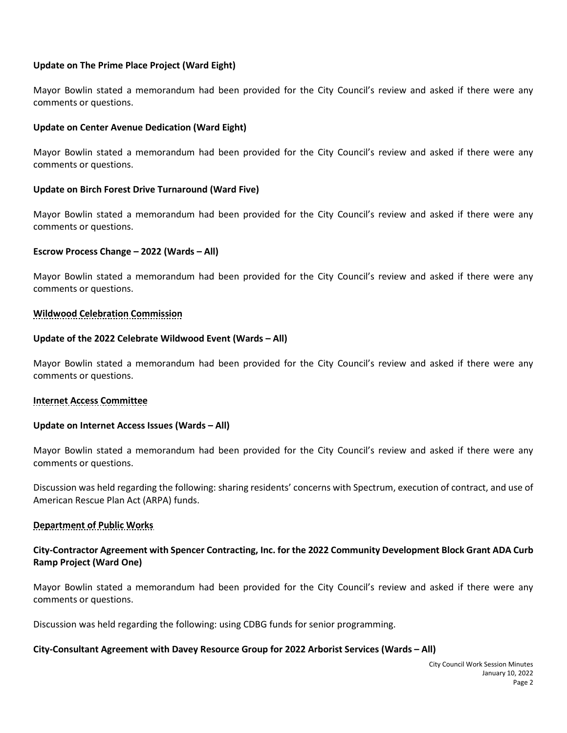## **Update on The Prime Place Project (Ward Eight)**

Mayor Bowlin stated a memorandum had been provided for the City Council's review and asked if there were any comments or questions.

## **Update on Center Avenue Dedication (Ward Eight)**

Mayor Bowlin stated a memorandum had been provided for the City Council's review and asked if there were any comments or questions.

## **Update on Birch Forest Drive Turnaround (Ward Five)**

Mayor Bowlin stated a memorandum had been provided for the City Council's review and asked if there were any comments or questions.

## **Escrow Process Change – 2022 (Wards – All)**

Mayor Bowlin stated a memorandum had been provided for the City Council's review and asked if there were any comments or questions.

## **Wildwood Celebration Commission**

## **Update of the 2022 Celebrate Wildwood Event (Wards – All)**

Mayor Bowlin stated a memorandum had been provided for the City Council's review and asked if there were any comments or questions.

## **Internet Access Committee**

## **Update on Internet Access Issues (Wards – All)**

Mayor Bowlin stated a memorandum had been provided for the City Council's review and asked if there were any comments or questions.

Discussion was held regarding the following: sharing residents' concerns with Spectrum, execution of contract, and use of American Rescue Plan Act (ARPA) funds.

## **Department of Public Works**

## **City-Contractor Agreement with Spencer Contracting, Inc. for the 2022 Community Development Block Grant ADA Curb Ramp Project (Ward One)**

Mayor Bowlin stated a memorandum had been provided for the City Council's review and asked if there were any comments or questions.

Discussion was held regarding the following: using CDBG funds for senior programming.

## **City-Consultant Agreement with Davey Resource Group for 2022 Arborist Services (Wards – All)**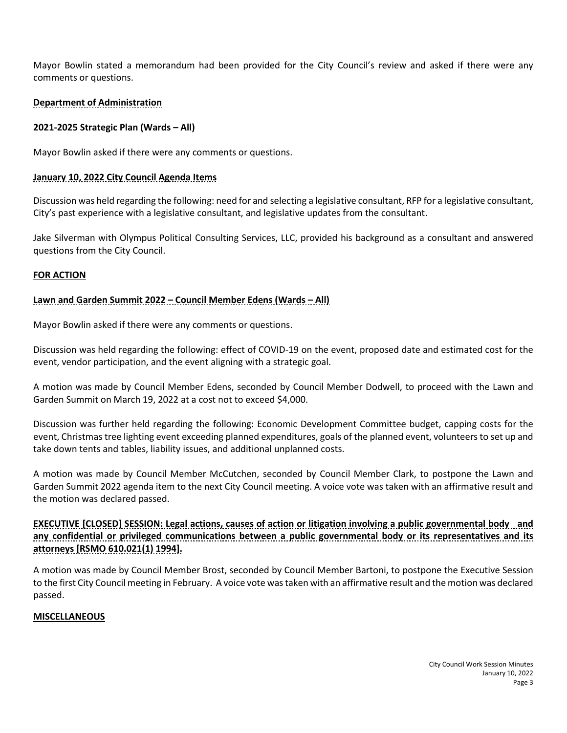Mayor Bowlin stated a memorandum had been provided for the City Council's review and asked if there were any comments or questions.

## **Department of Administration**

## **2021-2025 Strategic Plan (Wards – All)**

Mayor Bowlin asked if there were any comments or questions.

## **January 10, 2022 City Council Agenda Items**

Discussion was held regarding the following: need for and selecting a legislative consultant, RFP for a legislative consultant, City's past experience with a legislative consultant, and legislative updates from the consultant.

Jake Silverman with Olympus Political Consulting Services, LLC, provided his background as a consultant and answered questions from the City Council.

## **FOR ACTION**

## **Lawn and Garden Summit 2022 – Council Member Edens (Wards – All)**

Mayor Bowlin asked if there were any comments or questions.

Discussion was held regarding the following: effect of COVID-19 on the event, proposed date and estimated cost for the event, vendor participation, and the event aligning with a strategic goal.

A motion was made by Council Member Edens, seconded by Council Member Dodwell, to proceed with the Lawn and Garden Summit on March 19, 2022 at a cost not to exceed \$4,000.

Discussion was further held regarding the following: Economic Development Committee budget, capping costs for the event, Christmas tree lighting event exceeding planned expenditures, goals of the planned event, volunteers to set up and take down tents and tables, liability issues, and additional unplanned costs.

A motion was made by Council Member McCutchen, seconded by Council Member Clark, to postpone the Lawn and Garden Summit 2022 agenda item to the next City Council meeting. A voice vote was taken with an affirmative result and the motion was declared passed.

**EXECUTIVE [CLOSED] SESSION: Legal actions, causes of action or litigation involving a public governmental body and any confidential or privileged communications between a public governmental body or its representatives and its attorneys [RSMO 610.021(1) 1994].**

A motion was made by Council Member Brost, seconded by Council Member Bartoni, to postpone the Executive Session to the first City Council meeting in February. A voice vote was taken with an affirmative result and the motion was declared passed.

## **MISCELLANEOUS**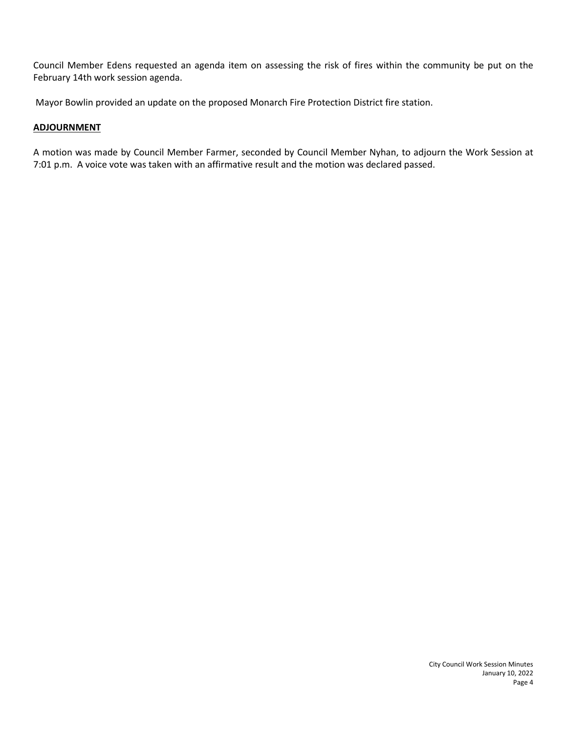Council Member Edens requested an agenda item on assessing the risk of fires within the community be put on the February 14th work session agenda.

Mayor Bowlin provided an update on the proposed Monarch Fire Protection District fire station.

## **ADJOURNMENT**

A motion was made by Council Member Farmer, seconded by Council Member Nyhan, to adjourn the Work Session at 7:01 p.m. A voice vote was taken with an affirmative result and the motion was declared passed.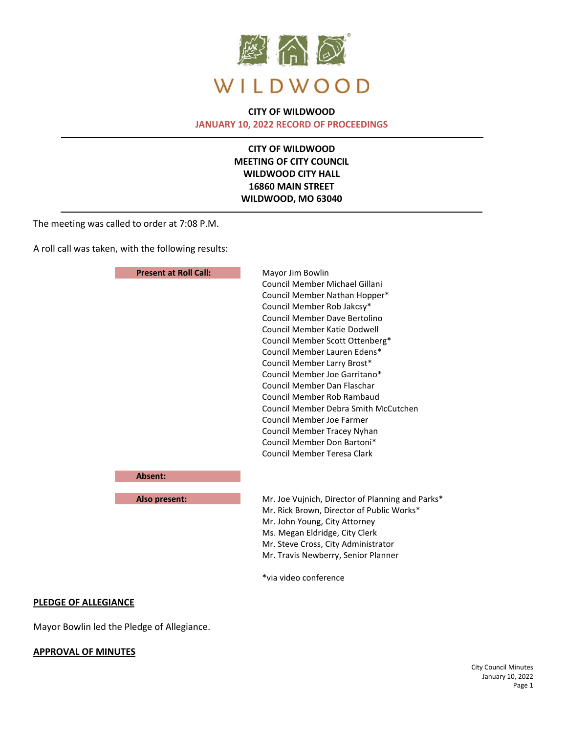

## **CITY OF WILDWOOD JANUARY 10, 2022 RECORD OF PROCEEDINGS**

**CITY OF WILDWOOD MEETING OF CITY COUNCIL WILDWOOD CITY HALL 16860 MAIN STREET WILDWOOD, MO 63040**

The meeting was called to order at 7:08 P.M.

A roll call was taken, with the following results:

| <b>Present at Roll Call:</b> | Mayor Jim Bowlin                                                                                                                                          |  |
|------------------------------|-----------------------------------------------------------------------------------------------------------------------------------------------------------|--|
|                              | Council Member Michael Gillani<br>Council Member Nathan Hopper*                                                                                           |  |
|                              |                                                                                                                                                           |  |
|                              | Council Member Rob Jakcsy*                                                                                                                                |  |
|                              | Council Member Dave Bertolino                                                                                                                             |  |
|                              | Council Member Katie Dodwell                                                                                                                              |  |
|                              | Council Member Scott Ottenberg*                                                                                                                           |  |
|                              | Council Member Lauren Edens*<br>Council Member Larry Brost*<br>Council Member Joe Garritano*<br>Council Member Dan Flaschar<br>Council Member Rob Rambaud |  |
|                              |                                                                                                                                                           |  |
|                              |                                                                                                                                                           |  |
|                              |                                                                                                                                                           |  |
|                              |                                                                                                                                                           |  |
|                              | Council Member Debra Smith McCutchen                                                                                                                      |  |
|                              | Council Member Joe Farmer                                                                                                                                 |  |
|                              | Council Member Tracey Nyhan                                                                                                                               |  |
|                              | Council Member Don Bartoni*                                                                                                                               |  |
|                              | Council Member Teresa Clark                                                                                                                               |  |
| Absent:                      |                                                                                                                                                           |  |
| Also present:                | Mr. Joe Vujnich, Director of Planning and Parks*                                                                                                          |  |
|                              | Mr. Rick Brown, Director of Public Works*                                                                                                                 |  |
|                              | Mr. John Young, City Attorney                                                                                                                             |  |
|                              | Ms. Megan Eldridge, City Clerk                                                                                                                            |  |
|                              | Mr. Steve Cross, City Administrator                                                                                                                       |  |
|                              | Mr. Travis Newberry, Senior Planner                                                                                                                       |  |
|                              | *via video conference                                                                                                                                     |  |

#### **PLEDGE OF ALLEGIANCE**

Mayor Bowlin led the Pledge of Allegiance.

#### **APPROVAL OF MINUTES**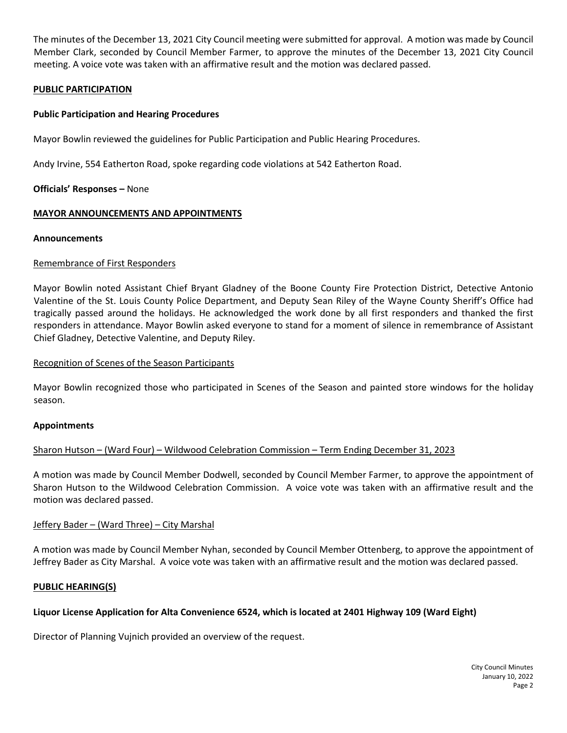The minutes of the December 13, 2021 City Council meeting were submitted for approval. A motion was made by Council Member Clark, seconded by Council Member Farmer, to approve the minutes of the December 13, 2021 City Council meeting. A voice vote was taken with an affirmative result and the motion was declared passed.

## **PUBLIC PARTICIPATION**

#### **Public Participation and Hearing Procedures**

Mayor Bowlin reviewed the guidelines for Public Participation and Public Hearing Procedures.

Andy Irvine, 554 Eatherton Road, spoke regarding code violations at 542 Eatherton Road.

#### **Officials' Responses –** None

## **MAYOR ANNOUNCEMENTS AND APPOINTMENTS**

#### **Announcements**

#### Remembrance of First Responders

Mayor Bowlin noted Assistant Chief Bryant Gladney of the Boone County Fire Protection District, Detective Antonio Valentine of the St. Louis County Police Department, and Deputy Sean Riley of the Wayne County Sheriff's Office had tragically passed around the holidays. He acknowledged the work done by all first responders and thanked the first responders in attendance. Mayor Bowlin asked everyone to stand for a moment of silence in remembrance of Assistant Chief Gladney, Detective Valentine, and Deputy Riley.

#### Recognition of Scenes of the Season Participants

Mayor Bowlin recognized those who participated in Scenes of the Season and painted store windows for the holiday season.

#### **Appointments**

## Sharon Hutson – (Ward Four) – Wildwood Celebration Commission – Term Ending December 31, 2023

A motion was made by Council Member Dodwell, seconded by Council Member Farmer, to approve the appointment of Sharon Hutson to the Wildwood Celebration Commission. A voice vote was taken with an affirmative result and the motion was declared passed.

#### Jeffery Bader – (Ward Three) – City Marshal

A motion was made by Council Member Nyhan, seconded by Council Member Ottenberg, to approve the appointment of Jeffrey Bader as City Marshal. A voice vote was taken with an affirmative result and the motion was declared passed.

#### **PUBLIC HEARING(S)**

## **Liquor License Application for Alta Convenience 6524, which is located at 2401 Highway 109 (Ward Eight)**

Director of Planning Vujnich provided an overview of the request.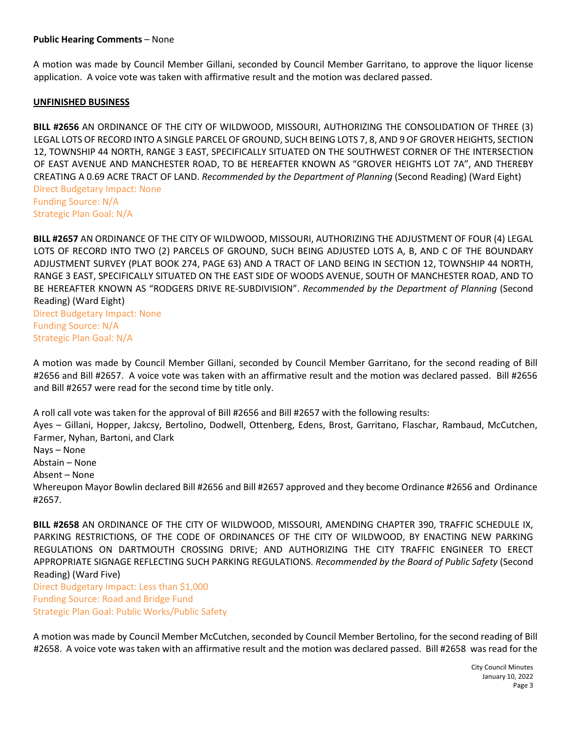#### **Public Hearing Comments** – None

A motion was made by Council Member Gillani, seconded by Council Member Garritano, to approve the liquor license application. A voice vote was taken with affirmative result and the motion was declared passed.

#### **UNFINISHED BUSINESS**

**BILL #2656** AN ORDINANCE OF THE CITY OF WILDWOOD, MISSOURI, AUTHORIZING THE CONSOLIDATION OF THREE (3) LEGAL LOTS OF RECORD INTO A SINGLE PARCEL OF GROUND, SUCH BEING LOTS 7, 8, AND 9 OF GROVER HEIGHTS, SECTION 12, TOWNSHIP 44 NORTH, RANGE 3 EAST, SPECIFICALLY SITUATED ON THE SOUTHWEST CORNER OF THE INTERSECTION OF EAST AVENUE AND MANCHESTER ROAD, TO BE HEREAFTER KNOWN AS "GROVER HEIGHTS LOT 7A", AND THEREBY CREATING A 0.69 ACRE TRACT OF LAND. *Recommended by the Department of Planning* (Second Reading) (Ward Eight) Direct Budgetary Impact: None Funding Source: N/A

Strategic Plan Goal: N/A

**BILL #2657** AN ORDINANCE OF THE CITY OF WILDWOOD, MISSOURI, AUTHORIZING THE ADJUSTMENT OF FOUR (4) LEGAL LOTS OF RECORD INTO TWO (2) PARCELS OF GROUND, SUCH BEING ADJUSTED LOTS A, B, AND C OF THE BOUNDARY ADJUSTMENT SURVEY (PLAT BOOK 274, PAGE 63) AND A TRACT OF LAND BEING IN SECTION 12, TOWNSHIP 44 NORTH, RANGE 3 EAST, SPECIFICALLY SITUATED ON THE EAST SIDE OF WOODS AVENUE, SOUTH OF MANCHESTER ROAD, AND TO BE HEREAFTER KNOWN AS "RODGERS DRIVE RE-SUBDIVISION". *Recommended by the Department of Planning* (Second Reading) (Ward Eight)

Direct Budgetary Impact: None Funding Source: N/A Strategic Plan Goal: N/A

A motion was made by Council Member Gillani, seconded by Council Member Garritano, for the second reading of Bill #2656 and Bill #2657. A voice vote was taken with an affirmative result and the motion was declared passed. Bill #2656 and Bill #2657 were read for the second time by title only.

A roll call vote was taken for the approval of Bill #2656 and Bill #2657 with the following results:

Ayes – Gillani, Hopper, Jakcsy, Bertolino, Dodwell, Ottenberg, Edens, Brost, Garritano, Flaschar, Rambaud, McCutchen, Farmer, Nyhan, Bartoni, and Clark

Nays – None

Abstain – None

Absent – None

Whereupon Mayor Bowlin declared Bill #2656 and Bill #2657 approved and they become Ordinance #2656 and Ordinance #2657.

**BILL #2658** AN ORDINANCE OF THE CITY OF WILDWOOD, MISSOURI, AMENDING CHAPTER 390, TRAFFIC SCHEDULE IX, PARKING RESTRICTIONS, OF THE CODE OF ORDINANCES OF THE CITY OF WILDWOOD, BY ENACTING NEW PARKING REGULATIONS ON DARTMOUTH CROSSING DRIVE; AND AUTHORIZING THE CITY TRAFFIC ENGINEER TO ERECT APPROPRIATE SIGNAGE REFLECTING SUCH PARKING REGULATIONS. *Recommended by the Board of Public Safety* (Second Reading) (Ward Five)

Direct Budgetary Impact: Less than \$1,000 Funding Source: Road and Bridge Fund Strategic Plan Goal: Public Works/Public Safety

A motion was made by Council Member McCutchen, seconded by Council Member Bertolino, for the second reading of Bill #2658. A voice vote was taken with an affirmative result and the motion was declared passed. Bill #2658 was read for the

> City Council Minutes January 10, 2022 Page 3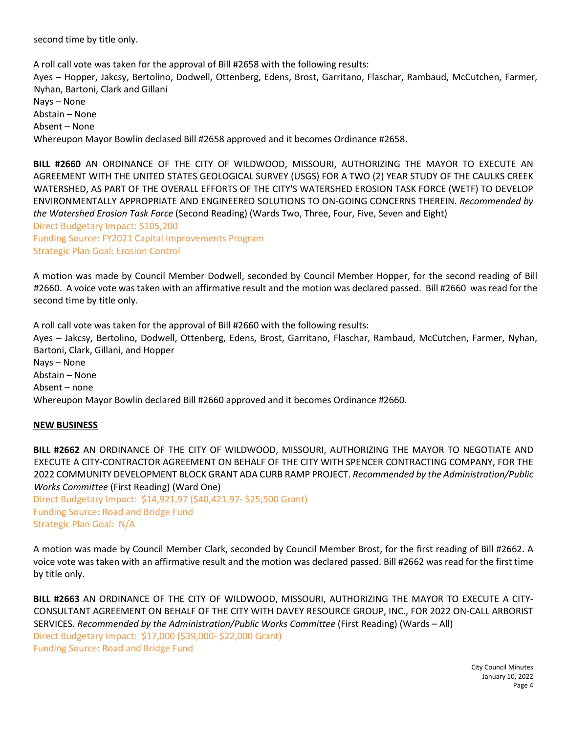second time by title only.

A roll call vote was taken for the approval of Bill #2658 with the following results: Ayes – Hopper, Jakcsy, Bertolino, Dodwell, Ottenberg, Edens, Brost, Garritano, Flaschar, Rambaud, McCutchen, Farmer, Nyhan, Bartoni, Clark and Gillani Nays – None Abstain – None Absent – None Whereupon Mayor Bowlin declased Bill #2658 approved and it becomes Ordinance #2658.

**BILL #2660** AN ORDINANCE OF THE CITY OF WILDWOOD, MISSOURI, AUTHORIZING THE MAYOR TO EXECUTE AN AGREEMENT WITH THE UNITED STATES GEOLOGICAL SURVEY (USGS) FOR A TWO (2) YEAR STUDY OF THE CAULKS CREEK WATERSHED, AS PART OF THE OVERALL EFFORTS OF THE CITY'S WATERSHED EROSION TASK FORCE (WETF) TO DEVELOP ENVIRONMENTALLY APPROPRIATE AND ENGINEERED SOLUTIONS TO ON-GOING CONCERNS THEREIN. *Recommended by the Watershed Erosion Task Force* (Second Reading) (Wards Two, Three, Four, Five, Seven and Eight) Direct Budgetary Impact: \$105,200 Funding Source: FY2021 Capital Improvements Program

Strategic Plan Goal: Erosion Control

A motion was made by Council Member Dodwell, seconded by Council Member Hopper, for the second reading of Bill #2660. A voice vote was taken with an affirmative result and the motion was declared passed. Bill #2660 was read for the second time by title only.

A roll call vote was taken for the approval of Bill #2660 with the following results: Ayes – Jakcsy, Bertolino, Dodwell, Ottenberg, Edens, Brost, Garritano, Flaschar, Rambaud, McCutchen, Farmer, Nyhan, Bartoni, Clark, Gillani, and Hopper Nays – None Abstain – None Absent – none Whereupon Mayor Bowlin declared Bill #2660 approved and it becomes Ordinance #2660.

## **NEW BUSINESS**

**BILL #2662** AN ORDINANCE OF THE CITY OF WILDWOOD, MISSOURI, AUTHORIZING THE MAYOR TO NEGOTIATE AND EXECUTE A CITY-CONTRACTOR AGREEMENT ON BEHALF OF THE CITY WITH SPENCER CONTRACTING COMPANY, FOR THE 2022 COMMUNITY DEVELOPMENT BLOCK GRANT ADA CURB RAMP PROJECT. *Recommended by the Administration/Public Works Committee* (First Reading) (Ward One)

Direct Budgetary Impact: \$14,921.97 (\$40,421.97- \$25,500 Grant) Funding Source: Road and Bridge Fund Strategic Plan Goal: N/A

A motion was made by Council Member Clark, seconded by Council Member Brost, for the first reading of Bill #2662. A voice vote was taken with an affirmative result and the motion was declared passed. Bill #2662 was read for the first time by title only.

**BILL #2663** AN ORDINANCE OF THE CITY OF WILDWOOD, MISSOURI, AUTHORIZING THE MAYOR TO EXECUTE A CITY-CONSULTANT AGREEMENT ON BEHALF OF THE CITY WITH DAVEY RESOURCE GROUP, INC., FOR 2022 ON-CALL ARBORIST SERVICES. *Recommended by the Administration/Public Works Committee* (First Reading) (Wards – All) Direct Budgetary Impact: \$17,000 (\$39,000- \$22,000 Grant) Funding Source: Road and Bridge Fund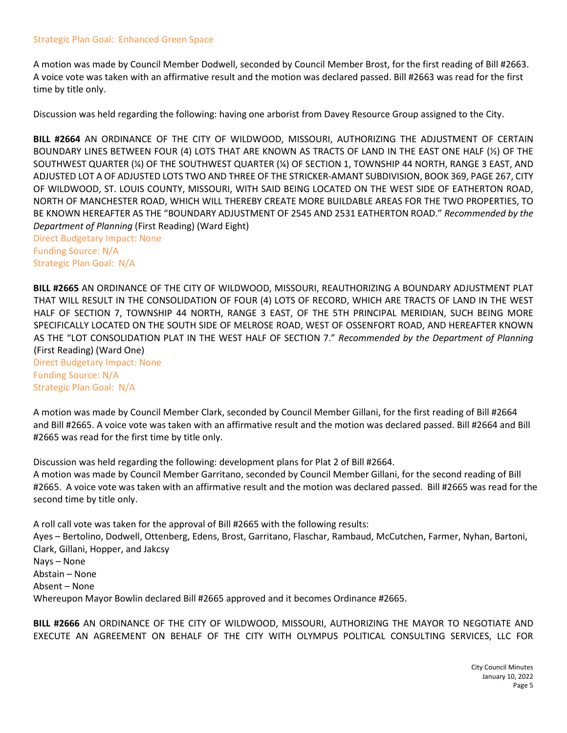#### Strategic Plan Goal: Enhanced Green Space

A motion was made by Council Member Dodwell, seconded by Council Member Brost, for the first reading of Bill #2663. A voice vote was taken with an affirmative result and the motion was declared passed. Bill #2663 was read for the first time by title only.

Discussion was held regarding the following: having one arborist from Davey Resource Group assigned to the City.

**BILL #2664** AN ORDINANCE OF THE CITY OF WILDWOOD, MISSOURI, AUTHORIZING THE ADJUSTMENT OF CERTAIN BOUNDARY LINES BETWEEN FOUR (4) LOTS THAT ARE KNOWN AS TRACTS OF LAND IN THE EAST ONE HALF (½) OF THE SOUTHWEST QUARTER (¼) OF THE SOUTHWEST QUARTER (¼) OF SECTION 1, TOWNSHIP 44 NORTH, RANGE 3 EAST, AND ADJUSTED LOT A OF ADJUSTED LOTS TWO AND THREE OF THE STRICKER-AMANT SUBDIVISION, BOOK 369, PAGE 267, CITY OF WILDWOOD, ST. LOUIS COUNTY, MISSOURI, WITH SAID BEING LOCATED ON THE WEST SIDE OF EATHERTON ROAD, NORTH OF MANCHESTER ROAD, WHICH WILL THEREBY CREATE MORE BUILDABLE AREAS FOR THE TWO PROPERTIES, TO BE KNOWN HEREAFTER AS THE "BOUNDARY ADJUSTMENT OF 2545 AND 2531 EATHERTON ROAD." *Recommended by the Department of Planning* (First Reading) (Ward Eight)

Direct Budgetary Impact: None Funding Source: N/A Strategic Plan Goal: N/A

**BILL #2665** AN ORDINANCE OF THE CITY OF WILDWOOD, MISSOURI, REAUTHORIZING A BOUNDARY ADJUSTMENT PLAT THAT WILL RESULT IN THE CONSOLIDATION OF FOUR (4) LOTS OF RECORD, WHICH ARE TRACTS OF LAND IN THE WEST HALF OF SECTION 7, TOWNSHIP 44 NORTH, RANGE 3 EAST, OF THE 5TH PRINCIPAL MERIDIAN, SUCH BEING MORE SPECIFICALLY LOCATED ON THE SOUTH SIDE OF MELROSE ROAD, WEST OF OSSENFORT ROAD, AND HEREAFTER KNOWN AS THE "LOT CONSOLIDATION PLAT IN THE WEST HALF OF SECTION 7." *Recommended by the Department of Planning* (First Reading) (Ward One)

Direct Budgetary Impact: None Funding Source: N/A Strategic Plan Goal: N/A

A motion was made by Council Member Clark, seconded by Council Member Gillani, for the first reading of Bill #2664 and Bill #2665. A voice vote was taken with an affirmative result and the motion was declared passed. Bill #2664 and Bill #2665 was read for the first time by title only.

Discussion was held regarding the following: development plans for Plat 2 of Bill #2664.

A motion was made by Council Member Garritano, seconded by Council Member Gillani, for the second reading of Bill #2665. A voice vote was taken with an affirmative result and the motion was declared passed. Bill #2665 was read for the second time by title only.

A roll call vote was taken for the approval of Bill #2665 with the following results:

Ayes – Bertolino, Dodwell, Ottenberg, Edens, Brost, Garritano, Flaschar, Rambaud, McCutchen, Farmer, Nyhan, Bartoni, Clark, Gillani, Hopper, and Jakcsy Nays – None

Abstain – None Absent – None

Whereupon Mayor Bowlin declared Bill #2665 approved and it becomes Ordinance #2665.

**BILL #2666** AN ORDINANCE OF THE CITY OF WILDWOOD, MISSOURI, AUTHORIZING THE MAYOR TO NEGOTIATE AND EXECUTE AN AGREEMENT ON BEHALF OF THE CITY WITH OLYMPUS POLITICAL CONSULTING SERVICES, LLC FOR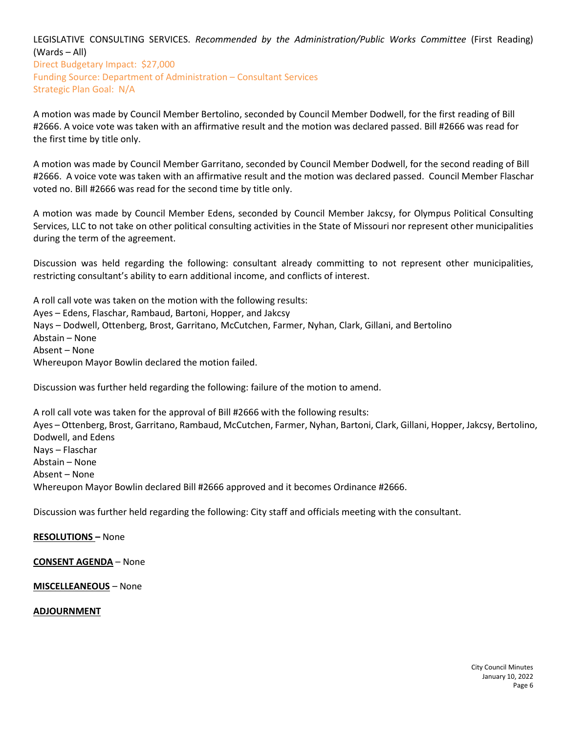LEGISLATIVE CONSULTING SERVICES. *Recommended by the Administration/Public Works Committee* (First Reading) (Wards – All) Direct Budgetary Impact: \$27,000 Funding Source: Department of Administration – Consultant Services Strategic Plan Goal: N/A

A motion was made by Council Member Bertolino, seconded by Council Member Dodwell, for the first reading of Bill #2666. A voice vote was taken with an affirmative result and the motion was declared passed. Bill #2666 was read for the first time by title only.

A motion was made by Council Member Garritano, seconded by Council Member Dodwell, for the second reading of Bill #2666. A voice vote was taken with an affirmative result and the motion was declared passed. Council Member Flaschar voted no. Bill #2666 was read for the second time by title only.

A motion was made by Council Member Edens, seconded by Council Member Jakcsy, for Olympus Political Consulting Services, LLC to not take on other political consulting activities in the State of Missouri nor represent other municipalities during the term of the agreement.

Discussion was held regarding the following: consultant already committing to not represent other municipalities, restricting consultant's ability to earn additional income, and conflicts of interest.

A roll call vote was taken on the motion with the following results: Ayes – Edens, Flaschar, Rambaud, Bartoni, Hopper, and Jakcsy Nays – Dodwell, Ottenberg, Brost, Garritano, McCutchen, Farmer, Nyhan, Clark, Gillani, and Bertolino Abstain – None Absent – None Whereupon Mayor Bowlin declared the motion failed.

Discussion was further held regarding the following: failure of the motion to amend.

A roll call vote was taken for the approval of Bill #2666 with the following results: Ayes – Ottenberg, Brost, Garritano, Rambaud, McCutchen, Farmer, Nyhan, Bartoni, Clark, Gillani, Hopper, Jakcsy, Bertolino, Dodwell, and Edens Nays – Flaschar Abstain – None Absent – None Whereupon Mayor Bowlin declared Bill #2666 approved and it becomes Ordinance #2666.

Discussion was further held regarding the following: City staff and officials meeting with the consultant.

**RESOLUTIONS –** None

**CONSENT AGENDA** – None

**MISCELLEANEOUS** – None

#### **ADJOURNMENT**

City Council Minutes January 10, 2022 Page 6